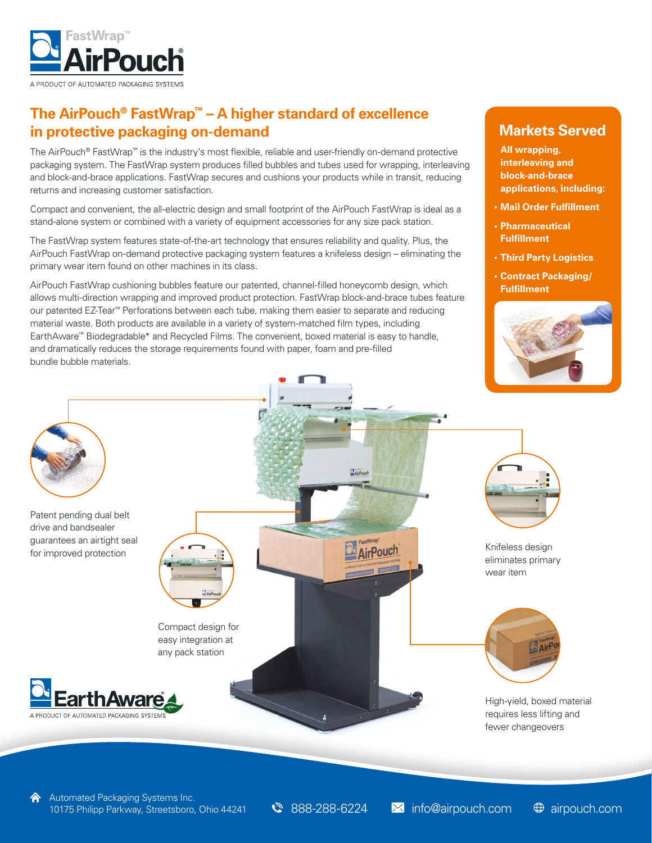

## **The AirPouch® FastWrap™ – A higher standard of excellence in protective packaging on-demand**

The AirPouch® FastWrap™ is the industry's most flexible, reliable and user-friendly on-demand protective packaging system. The FastWrap system produces filled bubbles and tubes used for wrapping, interleaving and block-and-brace applications. FastWrap secures and cushions your products while in transit, reducing returns and increasing customer satisfaction.

Compact and convenient, the all-electric design and small footprint of the AirPouch FastWrap is ideal as a stand-alone system or combined with a variety of equipment accessories for any size pack station.

The FastWrap system features state-of-the-art technology that ensures reliability and quality. Plus, the AirPouch FastWrap on-demand protective packaging system features a knifeless design – eliminating the primary wear item found on other machines in its class.

AirPouch FastWrap cushioning bubbles feature our patented, channel-filled honeycomb design, which allows multi-direction wrapping and improved product protection. FastWrap block-and-brace tubes feature our patented EZ-Tear™ Perforations between each tube, making them easier to separate and reducing material waste. Both products are available in a variety of system-matched film types, including EarthAware™ Biodegradable\* and Recycled Films. The convenient, boxed material is easy to handle, and dramatically reduces the storage requirements found with paper, foam and pre-filled bundle bubble materials.

### **Markets Served**

**All wrapping, interleaving and block-and-brace applications, including:** 

- **• Mail Order Fulfillment**
- **• Pharmaceutical Fulfillment**
- **• Third Party Logistics**
- **• Contract Packaging/ Fulfillment**





 $\bigcirc$  888-288-6224  $\blacksquare$  info@airpouch.com 10175 Philipp Parkway, Streetsboro, Ohio 44241 **3** 888-288-6224 M info@airpouch.com  $\oplus$  airpouch.com